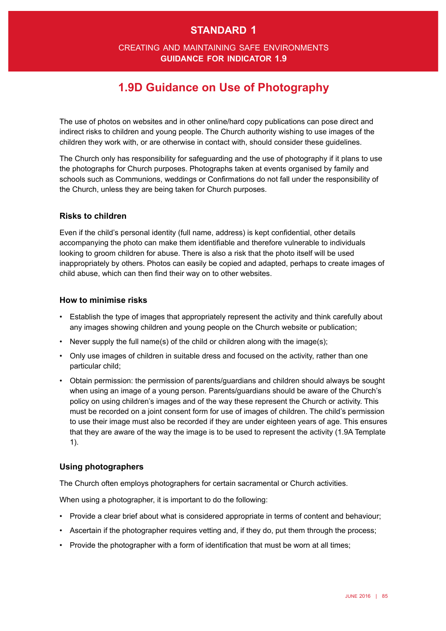# **standard 1**

## creating and maintaining safe environments **guidance for indicator 1.9**

# **1.9D Guidance on Use of Photography**

The use of photos on websites and in other online/hard copy publications can pose direct and indirect risks to children and young people. The Church authority wishing to use images of the children they work with, or are otherwise in contact with, should consider these guidelines.

The Church only has responsibility for safeguarding and the use of photography if it plans to use the photographs for Church purposes. Photographs taken at events organised by family and schools such as Communions, weddings or Confrmations do not fall under the responsibility of the Church, unless they are being taken for Church purposes.

#### **Risks to children**

Even if the child's personal identity (full name, address) is kept confdential, other details accompanying the photo can make them identifable and therefore vulnerable to individuals looking to groom children for abuse. There is also a risk that the photo itself will be used inappropriately by others. Photos can easily be copied and adapted, perhaps to create images of child abuse, which can then find their way on to other websites.

#### **How to minimise risks**

- • Establish the type of images that appropriately represent the activity and think carefully about any images showing children and young people on the Church website or publication;
- Never supply the full name(s) of the child or children along with the image(s);
- Only use images of children in suitable dress and focused on the activity, rather than one particular child;
- • Obtain permission: the permission of parents/guardians and children should always be sought when using an image of a young person. Parents/guardians should be aware of the Church's policy on using children's images and of the way these represent the Church or activity. This must be recorded on a joint consent form for use of images of children. The child's permission to use their image must also be recorded if they are under eighteen years of age. This ensures that they are aware of the way the image is to be used to represent the activity (1.9A Template 1).

## **Using photographers**

The Church often employs photographers for certain sacramental or Church activities.

When using a photographer, it is important to do the following:

- Provide a clear brief about what is considered appropriate in terms of content and behaviour;
- Ascertain if the photographer requires vetting and, if they do, put them through the process;
- Provide the photographer with a form of identification that must be worn at all times;